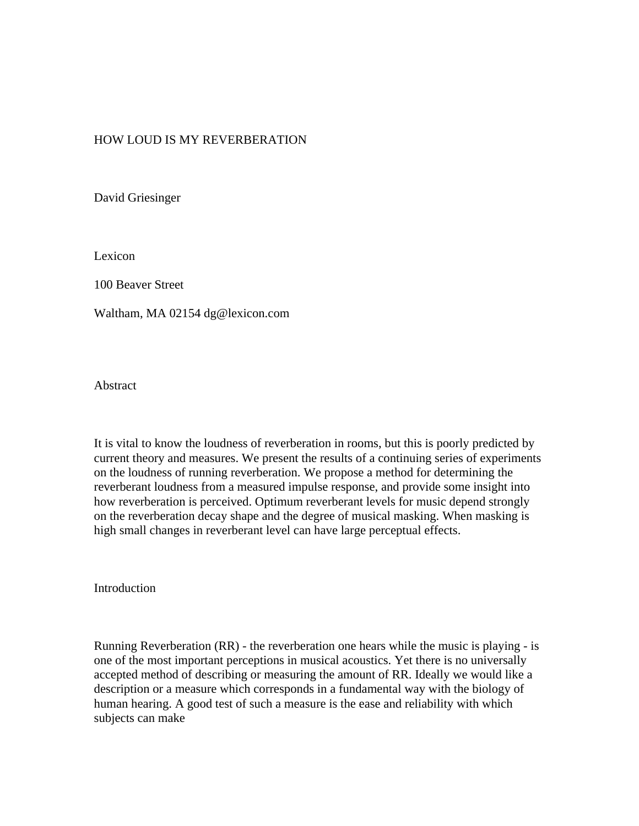### HOW LOUD IS MY REVERBERATION

David Griesinger

Lexicon

100 Beaver Street

Waltham, MA 02154 dg@lexicon.com

Abstract

It is vital to know the loudness of reverberation in rooms, but this is poorly predicted by current theory and measures. We present the results of a continuing series of experiments on the loudness of running reverberation. We propose a method for determining the reverberant loudness from a measured impulse response, and provide some insight into how reverberation is perceived. Optimum reverberant levels for music depend strongly on the reverberation decay shape and the degree of musical masking. When masking is high small changes in reverberant level can have large perceptual effects.

Introduction

Running Reverberation (RR) - the reverberation one hears while the music is playing - is one of the most important perceptions in musical acoustics. Yet there is no universally accepted method of describing or measuring the amount of RR. Ideally we would like a description or a measure which corresponds in a fundamental way with the biology of human hearing. A good test of such a measure is the ease and reliability with which subjects can make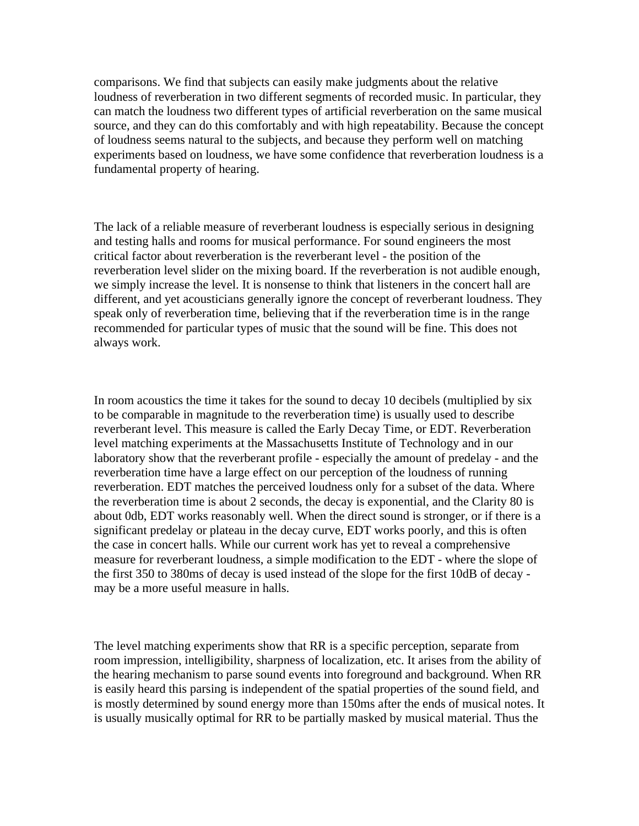comparisons. We find that subjects can easily make judgments about the relative loudness of reverberation in two different segments of recorded music. In particular, they can match the loudness two different types of artificial reverberation on the same musical source, and they can do this comfortably and with high repeatability. Because the concept of loudness seems natural to the subjects, and because they perform well on matching experiments based on loudness, we have some confidence that reverberation loudness is a fundamental property of hearing.

The lack of a reliable measure of reverberant loudness is especially serious in designing and testing halls and rooms for musical performance. For sound engineers the most critical factor about reverberation is the reverberant level - the position of the reverberation level slider on the mixing board. If the reverberation is not audible enough, we simply increase the level. It is nonsense to think that listeners in the concert hall are different, and yet acousticians generally ignore the concept of reverberant loudness. They speak only of reverberation time, believing that if the reverberation time is in the range recommended for particular types of music that the sound will be fine. This does not always work.

In room acoustics the time it takes for the sound to decay 10 decibels (multiplied by six to be comparable in magnitude to the reverberation time) is usually used to describe reverberant level. This measure is called the Early Decay Time, or EDT. Reverberation level matching experiments at the Massachusetts Institute of Technology and in our laboratory show that the reverberant profile - especially the amount of predelay - and the reverberation time have a large effect on our perception of the loudness of running reverberation. EDT matches the perceived loudness only for a subset of the data. Where the reverberation time is about 2 seconds, the decay is exponential, and the Clarity 80 is about 0db, EDT works reasonably well. When the direct sound is stronger, or if there is a significant predelay or plateau in the decay curve, EDT works poorly, and this is often the case in concert halls. While our current work has yet to reveal a comprehensive measure for reverberant loudness, a simple modification to the EDT - where the slope of the first 350 to 380ms of decay is used instead of the slope for the first 10dB of decay may be a more useful measure in halls.

The level matching experiments show that RR is a specific perception, separate from room impression, intelligibility, sharpness of localization, etc. It arises from the ability of the hearing mechanism to parse sound events into foreground and background. When RR is easily heard this parsing is independent of the spatial properties of the sound field, and is mostly determined by sound energy more than 150ms after the ends of musical notes. It is usually musically optimal for RR to be partially masked by musical material. Thus the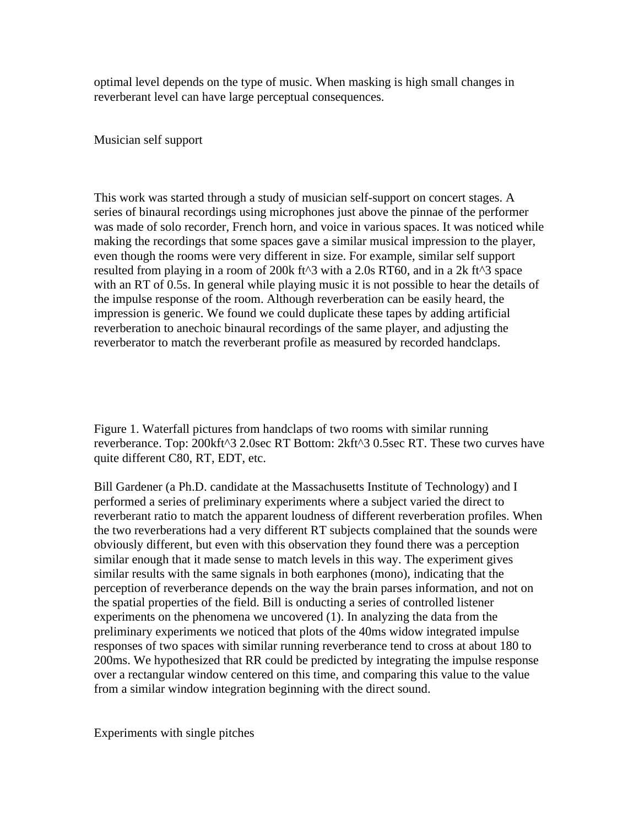optimal level depends on the type of music. When masking is high small changes in reverberant level can have large perceptual consequences.

Musician self support

This work was started through a study of musician self-support on concert stages. A series of binaural recordings using microphones just above the pinnae of the performer was made of solo recorder, French horn, and voice in various spaces. It was noticed while making the recordings that some spaces gave a similar musical impression to the player, even though the rooms were very different in size. For example, similar self support resulted from playing in a room of 200k ft $\triangle$ 3 with a 2.0s RT60, and in a 2k ft $\triangle$ 3 space with an RT of 0.5s. In general while playing music it is not possible to hear the details of the impulse response of the room. Although reverberation can be easily heard, the impression is generic. We found we could duplicate these tapes by adding artificial reverberation to anechoic binaural recordings of the same player, and adjusting the reverberator to match the reverberant profile as measured by recorded handclaps.

Figure 1. Waterfall pictures from handclaps of two rooms with similar running reverberance. Top: 200kft^3 2.0sec RT Bottom: 2kft^3 0.5sec RT. These two curves have quite different C80, RT, EDT, etc.

Bill Gardener (a Ph.D. candidate at the Massachusetts Institute of Technology) and I performed a series of preliminary experiments where a subject varied the direct to reverberant ratio to match the apparent loudness of different reverberation profiles. When the two reverberations had a very different RT subjects complained that the sounds were obviously different, but even with this observation they found there was a perception similar enough that it made sense to match levels in this way. The experiment gives similar results with the same signals in both earphones (mono), indicating that the perception of reverberance depends on the way the brain parses information, and not on the spatial properties of the field. Bill is onducting a series of controlled listener experiments on the phenomena we uncovered (1). In analyzing the data from the preliminary experiments we noticed that plots of the 40ms widow integrated impulse responses of two spaces with similar running reverberance tend to cross at about 180 to 200ms. We hypothesized that RR could be predicted by integrating the impulse response over a rectangular window centered on this time, and comparing this value to the value from a similar window integration beginning with the direct sound.

Experiments with single pitches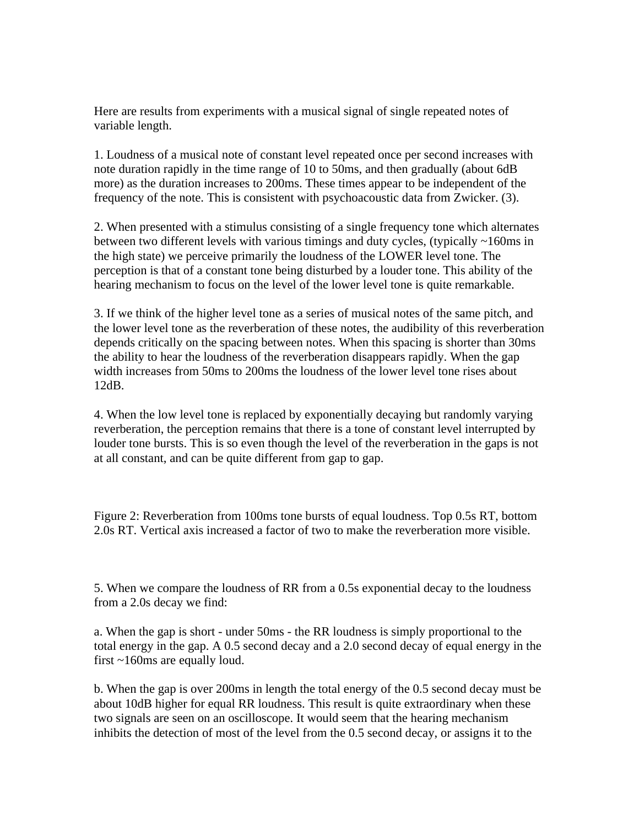Here are results from experiments with a musical signal of single repeated notes of variable length.

1. Loudness of a musical note of constant level repeated once per second increases with note duration rapidly in the time range of 10 to 50ms, and then gradually (about 6dB more) as the duration increases to 200ms. These times appear to be independent of the frequency of the note. This is consistent with psychoacoustic data from Zwicker. (3).

2. When presented with a stimulus consisting of a single frequency tone which alternates between two different levels with various timings and duty cycles, (typically ~160ms in the high state) we perceive primarily the loudness of the LOWER level tone. The perception is that of a constant tone being disturbed by a louder tone. This ability of the hearing mechanism to focus on the level of the lower level tone is quite remarkable.

3. If we think of the higher level tone as a series of musical notes of the same pitch, and the lower level tone as the reverberation of these notes, the audibility of this reverberation depends critically on the spacing between notes. When this spacing is shorter than 30ms the ability to hear the loudness of the reverberation disappears rapidly. When the gap width increases from 50ms to 200ms the loudness of the lower level tone rises about 12dB.

4. When the low level tone is replaced by exponentially decaying but randomly varying reverberation, the perception remains that there is a tone of constant level interrupted by louder tone bursts. This is so even though the level of the reverberation in the gaps is not at all constant, and can be quite different from gap to gap.

Figure 2: Reverberation from 100ms tone bursts of equal loudness. Top 0.5s RT, bottom 2.0s RT. Vertical axis increased a factor of two to make the reverberation more visible.

5. When we compare the loudness of RR from a 0.5s exponential decay to the loudness from a 2.0s decay we find:

a. When the gap is short - under 50ms - the RR loudness is simply proportional to the total energy in the gap. A 0.5 second decay and a 2.0 second decay of equal energy in the first ~160ms are equally loud.

b. When the gap is over 200ms in length the total energy of the 0.5 second decay must be about 10dB higher for equal RR loudness. This result is quite extraordinary when these two signals are seen on an oscilloscope. It would seem that the hearing mechanism inhibits the detection of most of the level from the 0.5 second decay, or assigns it to the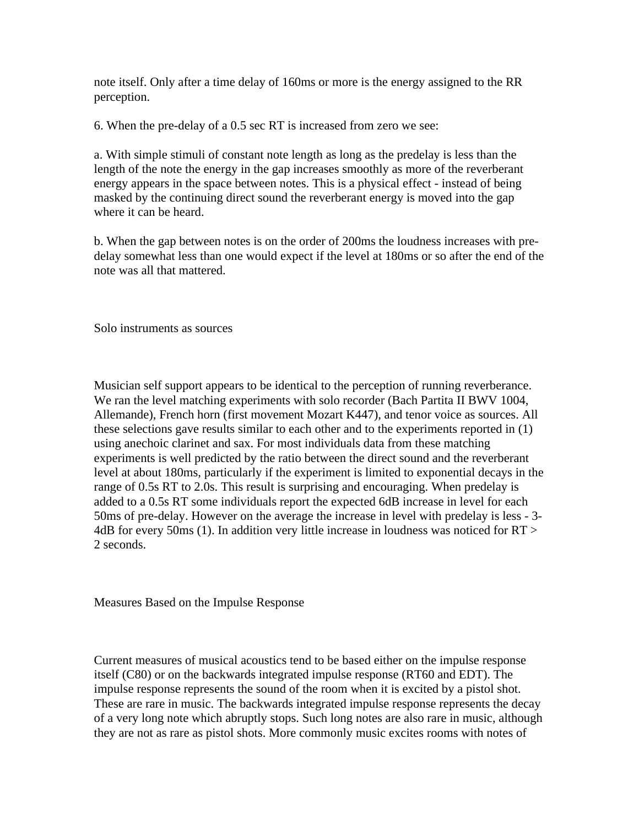note itself. Only after a time delay of 160ms or more is the energy assigned to the RR perception.

6. When the pre-delay of a 0.5 sec RT is increased from zero we see:

a. With simple stimuli of constant note length as long as the predelay is less than the length of the note the energy in the gap increases smoothly as more of the reverberant energy appears in the space between notes. This is a physical effect - instead of being masked by the continuing direct sound the reverberant energy is moved into the gap where it can be heard.

b. When the gap between notes is on the order of 200ms the loudness increases with predelay somewhat less than one would expect if the level at 180ms or so after the end of the note was all that mattered.

Solo instruments as sources

Musician self support appears to be identical to the perception of running reverberance. We ran the level matching experiments with solo recorder (Bach Partita II BWV 1004, Allemande), French horn (first movement Mozart K447), and tenor voice as sources. All these selections gave results similar to each other and to the experiments reported in (1) using anechoic clarinet and sax. For most individuals data from these matching experiments is well predicted by the ratio between the direct sound and the reverberant level at about 180ms, particularly if the experiment is limited to exponential decays in the range of 0.5s RT to 2.0s. This result is surprising and encouraging. When predelay is added to a 0.5s RT some individuals report the expected 6dB increase in level for each 50ms of pre-delay. However on the average the increase in level with predelay is less - 3- 4dB for every 50ms (1). In addition very little increase in loudness was noticed for RT > 2 seconds.

Measures Based on the Impulse Response

Current measures of musical acoustics tend to be based either on the impulse response itself (C80) or on the backwards integrated impulse response (RT60 and EDT). The impulse response represents the sound of the room when it is excited by a pistol shot. These are rare in music. The backwards integrated impulse response represents the decay of a very long note which abruptly stops. Such long notes are also rare in music, although they are not as rare as pistol shots. More commonly music excites rooms with notes of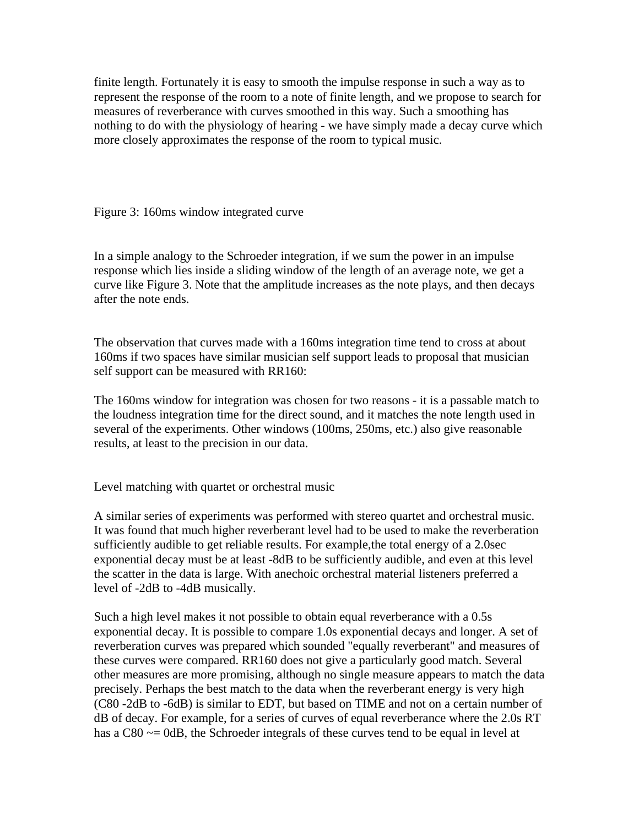finite length. Fortunately it is easy to smooth the impulse response in such a way as to represent the response of the room to a note of finite length, and we propose to search for measures of reverberance with curves smoothed in this way. Such a smoothing has nothing to do with the physiology of hearing - we have simply made a decay curve which more closely approximates the response of the room to typical music.

Figure 3: 160ms window integrated curve

In a simple analogy to the Schroeder integration, if we sum the power in an impulse response which lies inside a sliding window of the length of an average note, we get a curve like Figure 3. Note that the amplitude increases as the note plays, and then decays after the note ends.

The observation that curves made with a 160ms integration time tend to cross at about 160ms if two spaces have similar musician self support leads to proposal that musician self support can be measured with RR160:

The 160ms window for integration was chosen for two reasons - it is a passable match to the loudness integration time for the direct sound, and it matches the note length used in several of the experiments. Other windows (100ms, 250ms, etc.) also give reasonable results, at least to the precision in our data.

Level matching with quartet or orchestral music

A similar series of experiments was performed with stereo quartet and orchestral music. It was found that much higher reverberant level had to be used to make the reverberation sufficiently audible to get reliable results. For example,the total energy of a 2.0sec exponential decay must be at least -8dB to be sufficiently audible, and even at this level the scatter in the data is large. With anechoic orchestral material listeners preferred a level of -2dB to -4dB musically.

Such a high level makes it not possible to obtain equal reverberance with a 0.5s exponential decay. It is possible to compare 1.0s exponential decays and longer. A set of reverberation curves was prepared which sounded "equally reverberant" and measures of these curves were compared. RR160 does not give a particularly good match. Several other measures are more promising, although no single measure appears to match the data precisely. Perhaps the best match to the data when the reverberant energy is very high (C80 -2dB to -6dB) is similar to EDT, but based on TIME and not on a certain number of dB of decay. For example, for a series of curves of equal reverberance where the 2.0s RT has a C80  $\sim$  = 0dB, the Schroeder integrals of these curves tend to be equal in level at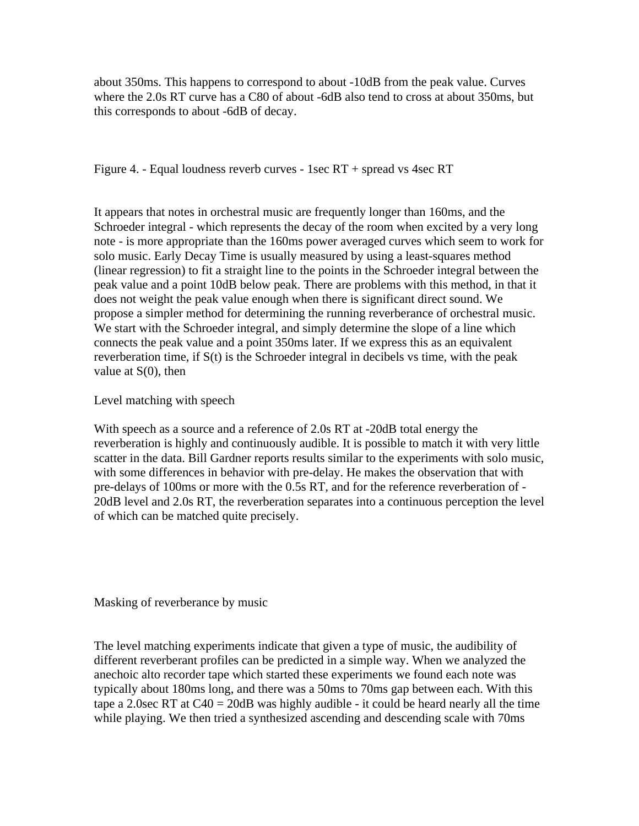about 350ms. This happens to correspond to about -10dB from the peak value. Curves where the 2.0s RT curve has a C80 of about -6dB also tend to cross at about 350ms, but this corresponds to about -6dB of decay.

Figure 4. - Equal loudness reverb curves - 1sec RT + spread vs 4sec RT

It appears that notes in orchestral music are frequently longer than 160ms, and the Schroeder integral - which represents the decay of the room when excited by a very long note - is more appropriate than the 160ms power averaged curves which seem to work for solo music. Early Decay Time is usually measured by using a least-squares method (linear regression) to fit a straight line to the points in the Schroeder integral between the peak value and a point 10dB below peak. There are problems with this method, in that it does not weight the peak value enough when there is significant direct sound. We propose a simpler method for determining the running reverberance of orchestral music. We start with the Schroeder integral, and simply determine the slope of a line which connects the peak value and a point 350ms later. If we express this as an equivalent reverberation time, if S(t) is the Schroeder integral in decibels vs time, with the peak value at  $S(0)$ , then

Level matching with speech

With speech as a source and a reference of 2.0s RT at -20dB total energy the reverberation is highly and continuously audible. It is possible to match it with very little scatter in the data. Bill Gardner reports results similar to the experiments with solo music, with some differences in behavior with pre-delay. He makes the observation that with pre-delays of 100ms or more with the 0.5s RT, and for the reference reverberation of - 20dB level and 2.0s RT, the reverberation separates into a continuous perception the level of which can be matched quite precisely.

Masking of reverberance by music

The level matching experiments indicate that given a type of music, the audibility of different reverberant profiles can be predicted in a simple way. When we analyzed the anechoic alto recorder tape which started these experiments we found each note was typically about 180ms long, and there was a 50ms to 70ms gap between each. With this tape a 2.0sec RT at  $C_4 = 20dB$  was highly audible - it could be heard nearly all the time while playing. We then tried a synthesized ascending and descending scale with 70ms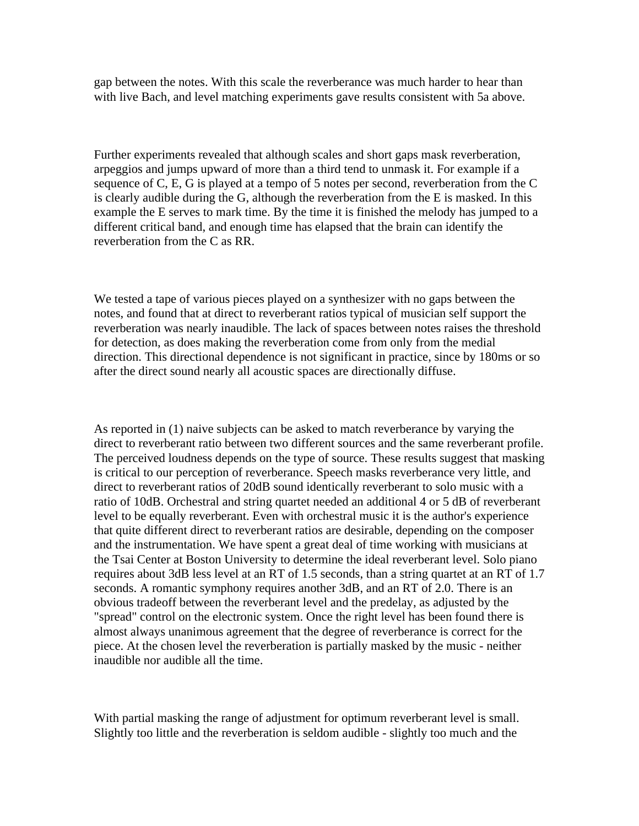gap between the notes. With this scale the reverberance was much harder to hear than with live Bach, and level matching experiments gave results consistent with 5a above.

Further experiments revealed that although scales and short gaps mask reverberation, arpeggios and jumps upward of more than a third tend to unmask it. For example if a sequence of C, E, G is played at a tempo of 5 notes per second, reverberation from the C is clearly audible during the G, although the reverberation from the E is masked. In this example the E serves to mark time. By the time it is finished the melody has jumped to a different critical band, and enough time has elapsed that the brain can identify the reverberation from the C as RR.

We tested a tape of various pieces played on a synthesizer with no gaps between the notes, and found that at direct to reverberant ratios typical of musician self support the reverberation was nearly inaudible. The lack of spaces between notes raises the threshold for detection, as does making the reverberation come from only from the medial direction. This directional dependence is not significant in practice, since by 180ms or so after the direct sound nearly all acoustic spaces are directionally diffuse.

As reported in (1) naive subjects can be asked to match reverberance by varying the direct to reverberant ratio between two different sources and the same reverberant profile. The perceived loudness depends on the type of source. These results suggest that masking is critical to our perception of reverberance. Speech masks reverberance very little, and direct to reverberant ratios of 20dB sound identically reverberant to solo music with a ratio of 10dB. Orchestral and string quartet needed an additional 4 or 5 dB of reverberant level to be equally reverberant. Even with orchestral music it is the author's experience that quite different direct to reverberant ratios are desirable, depending on the composer and the instrumentation. We have spent a great deal of time working with musicians at the Tsai Center at Boston University to determine the ideal reverberant level. Solo piano requires about 3dB less level at an RT of 1.5 seconds, than a string quartet at an RT of 1.7 seconds. A romantic symphony requires another 3dB, and an RT of 2.0. There is an obvious tradeoff between the reverberant level and the predelay, as adjusted by the "spread" control on the electronic system. Once the right level has been found there is almost always unanimous agreement that the degree of reverberance is correct for the piece. At the chosen level the reverberation is partially masked by the music - neither inaudible nor audible all the time.

With partial masking the range of adjustment for optimum reverberant level is small. Slightly too little and the reverberation is seldom audible - slightly too much and the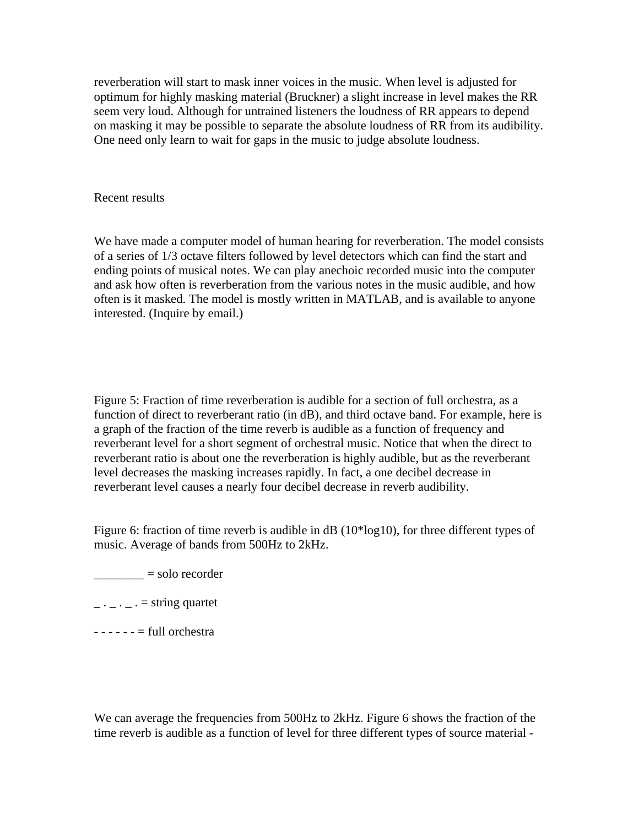reverberation will start to mask inner voices in the music. When level is adjusted for optimum for highly masking material (Bruckner) a slight increase in level makes the RR seem very loud. Although for untrained listeners the loudness of RR appears to depend on masking it may be possible to separate the absolute loudness of RR from its audibility. One need only learn to wait for gaps in the music to judge absolute loudness.

#### Recent results

We have made a computer model of human hearing for reverberation. The model consists of a series of 1/3 octave filters followed by level detectors which can find the start and ending points of musical notes. We can play anechoic recorded music into the computer and ask how often is reverberation from the various notes in the music audible, and how often is it masked. The model is mostly written in MATLAB, and is available to anyone interested. (Inquire by email.)

Figure 5: Fraction of time reverberation is audible for a section of full orchestra, as a function of direct to reverberant ratio (in dB), and third octave band. For example, here is a graph of the fraction of the time reverb is audible as a function of frequency and reverberant level for a short segment of orchestral music. Notice that when the direct to reverberant ratio is about one the reverberation is highly audible, but as the reverberant level decreases the masking increases rapidly. In fact, a one decibel decrease in reverberant level causes a nearly four decibel decrease in reverb audibility.

Figure 6: fraction of time reverb is audible in dB (10\*log10), for three different types of music. Average of bands from 500Hz to 2kHz.

 $\frac{\ }{\ }$  = solo recorder

 $\ldots$  .  $\ldots$  = string quartet

- - - - - - = full orchestra

We can average the frequencies from 500Hz to 2kHz. Figure 6 shows the fraction of the time reverb is audible as a function of level for three different types of source material -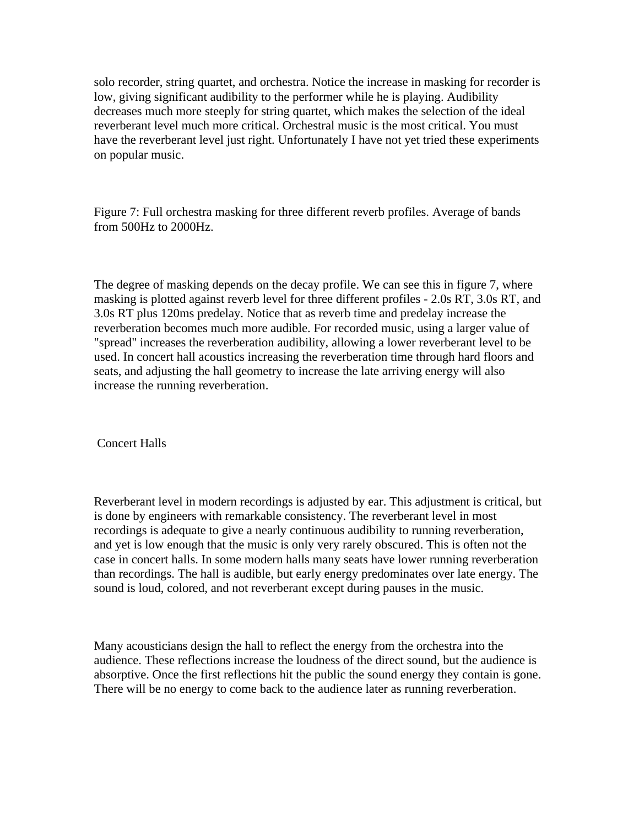solo recorder, string quartet, and orchestra. Notice the increase in masking for recorder is low, giving significant audibility to the performer while he is playing. Audibility decreases much more steeply for string quartet, which makes the selection of the ideal reverberant level much more critical. Orchestral music is the most critical. You must have the reverberant level just right. Unfortunately I have not yet tried these experiments on popular music.

Figure 7: Full orchestra masking for three different reverb profiles. Average of bands from 500Hz to 2000Hz.

The degree of masking depends on the decay profile. We can see this in figure 7, where masking is plotted against reverb level for three different profiles - 2.0s RT, 3.0s RT, and 3.0s RT plus 120ms predelay. Notice that as reverb time and predelay increase the reverberation becomes much more audible. For recorded music, using a larger value of "spread" increases the reverberation audibility, allowing a lower reverberant level to be used. In concert hall acoustics increasing the reverberation time through hard floors and seats, and adjusting the hall geometry to increase the late arriving energy will also increase the running reverberation.

Concert Halls

Reverberant level in modern recordings is adjusted by ear. This adjustment is critical, but is done by engineers with remarkable consistency. The reverberant level in most recordings is adequate to give a nearly continuous audibility to running reverberation, and yet is low enough that the music is only very rarely obscured. This is often not the case in concert halls. In some modern halls many seats have lower running reverberation than recordings. The hall is audible, but early energy predominates over late energy. The sound is loud, colored, and not reverberant except during pauses in the music.

Many acousticians design the hall to reflect the energy from the orchestra into the audience. These reflections increase the loudness of the direct sound, but the audience is absorptive. Once the first reflections hit the public the sound energy they contain is gone. There will be no energy to come back to the audience later as running reverberation.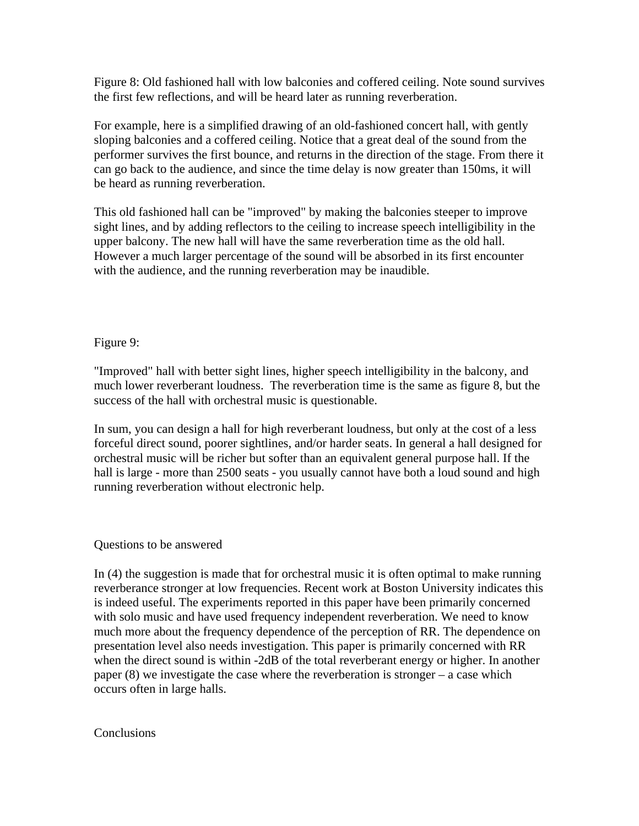Figure 8: Old fashioned hall with low balconies and coffered ceiling. Note sound survives the first few reflections, and will be heard later as running reverberation.

For example, here is a simplified drawing of an old-fashioned concert hall, with gently sloping balconies and a coffered ceiling. Notice that a great deal of the sound from the performer survives the first bounce, and returns in the direction of the stage. From there it can go back to the audience, and since the time delay is now greater than 150ms, it will be heard as running reverberation.

This old fashioned hall can be "improved" by making the balconies steeper to improve sight lines, and by adding reflectors to the ceiling to increase speech intelligibility in the upper balcony. The new hall will have the same reverberation time as the old hall. However a much larger percentage of the sound will be absorbed in its first encounter with the audience, and the running reverberation may be inaudible.

# Figure 9:

"Improved" hall with better sight lines, higher speech intelligibility in the balcony, and much lower reverberant loudness. The reverberation time is the same as figure 8, but the success of the hall with orchestral music is questionable.

In sum, you can design a hall for high reverberant loudness, but only at the cost of a less forceful direct sound, poorer sightlines, and/or harder seats. In general a hall designed for orchestral music will be richer but softer than an equivalent general purpose hall. If the hall is large - more than 2500 seats - you usually cannot have both a loud sound and high running reverberation without electronic help.

## Questions to be answered

In (4) the suggestion is made that for orchestral music it is often optimal to make running reverberance stronger at low frequencies. Recent work at Boston University indicates this is indeed useful. The experiments reported in this paper have been primarily concerned with solo music and have used frequency independent reverberation. We need to know much more about the frequency dependence of the perception of RR. The dependence on presentation level also needs investigation. This paper is primarily concerned with RR when the direct sound is within -2dB of the total reverberant energy or higher. In another paper (8) we investigate the case where the reverberation is stronger – a case which occurs often in large halls.

## **Conclusions**